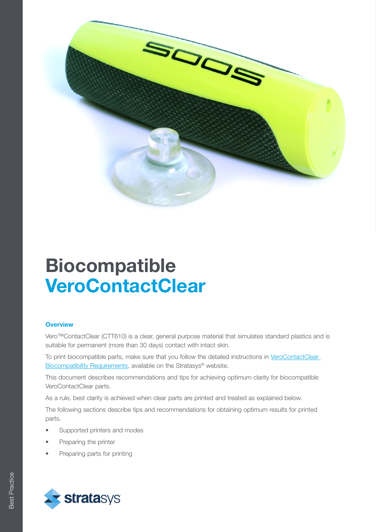

# Biocompatible **VeroContactClear**

### **Overview**

Vero™ContactClear (CTT610) is a clear, general purpose material that simulates standard plastics and is suitable for permanent (more than 30 days) contact with intact skin.

To print biocompatible parts, make sure that you follow the detailed instructions in VeroContactClear [Biocompatibility Requirements](https://support.stratasys.com/materials/polyjet-materials/biocompatible), available on the Stratasys® website.

This document describes recommendations and tips for achieving optimum clarity for biocompatible VeroContactClear parts.

As a rule, best clarity is achieved when clear parts are printed and treated as explained below.

The following sections describe tips and recommendations for obtaining optimum results for printed parts.

- Supported printers and modes
- Preparing the printer
- Preparing parts for printing

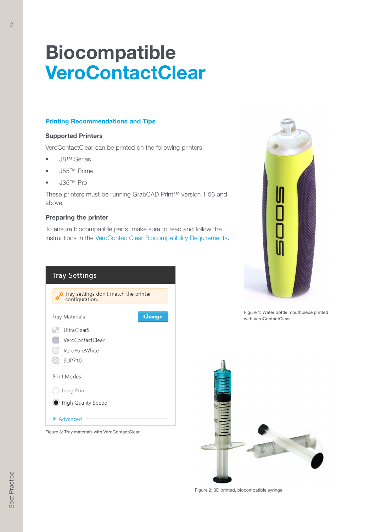## Biocompatible **VeroContactClear**

## Printing Recommendations and Tips

### Supported Printers

VeroContactClear can be printed on the following printers:

- J8™ Series
- J55™ Prime
- J35™ Pro

These printers must be running GrabCAD Print™ version 1.56 and above.

#### Preparing the printer

To ensure biocompatible parts, make sure to read and follow the instructions in the **[VeroContactClear Biocompatibility Requirements](https://support.stratasys.com/materials/polyjet-materials/biocompatible)**.



![](_page_1_Picture_11.jpeg)

Figure 1: Water bottle mouthpiece printed with VeroContactClear

![](_page_1_Picture_13.jpeg)

Figure 2: 3D printed, biocompatible syringe